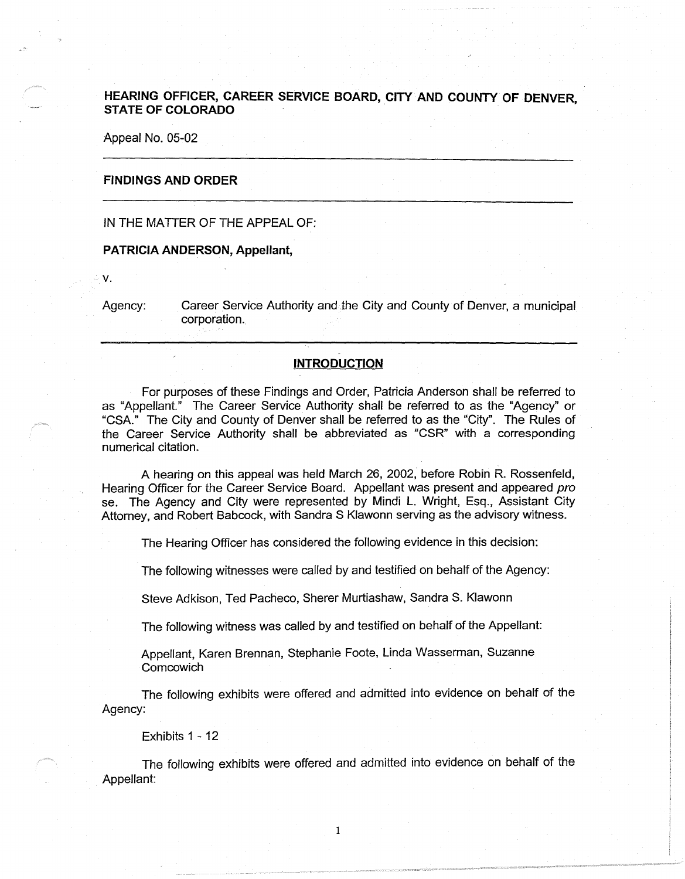# **HEARING OFFICER, CAREER SERVICE BOARD, CITY AND COUNTY OF DENVER STATE OF COLORADO**

Appeal No. 05-02

#### **FINDINGS AND ORDER**

# IN THE MATTER OF THE APPEAL OF:

# **PATRICIA ANDERSON, Appellant,**

V.

Agency: Career Service Authority and the City and County of Denver, a municipal corporation.

# **INTRODUCTION**

For purposes of these Findings and Order, Patricia Anderson shall be referred to as "Appellant." The Career Service Authority shall be referred to as the "Agency" or "CSA." The City and County of Denver shall be referred to as the "City". The Rules of the Career Service Authority shall be abbreviated as "CSR" with a corresponding numerical citation.

A hearing on this appeal was held March 26, 2002, before Robin R. Rossenfeld, Hearing Officer for the Career Service Board. Appellant was present and appeared pro se. The Agency and City were represented by Mindi L. Wright, Esq., Assistant City Attorney, and Robert Babcock, with Sandra S Klawonn serving as the advisory witness.

The Hearing Officer has considered the following evidence in this decision:

The following witnesses were called by and testified on behalf of the Agency:

Steve Adkison, Ted Pacheco, Sherer Murtiashaw, Sandra S. Klawonn

The following witness was called by and testified on behalf of the Appellant:

Appellant, Karen Brennan, Stephanie Foote, Linda Wasserman, Suzanne Comcowich

The following exhibits were offered and admitted into evidence on behalf of the Agency:

Exhibits 1 - 12

The following exhibits were offered and admitted into evidence on behalf of the Appellant: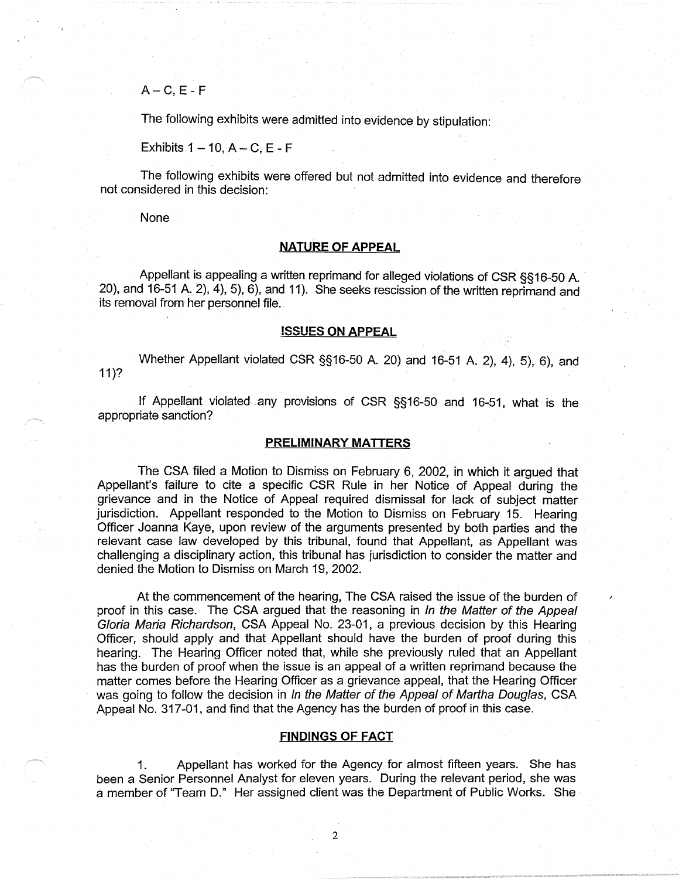**A-C,** E- F

The following exhibits were admitted into evidence by stipulation:

Exhibits  $1 - 10$ ,  $A - C$ ,  $E - F$ 

The following exhibits were offered but not admitted into evidence and therefore not considered in this decision:

None

11)?

## **NATURE OF APPEAL**

Appellant is appealing a written reprimand for alleged violations of CSR §§ 16-50 A 20), and 16-51 A. 2), 4), 5), 6), and 11 ). She seeks rescission of the written reprimand and its removal from her personnel file.

## **ISSUES ON APPEAL**

Whether Appellant violated CSR §§16-50 A. 20) and 16-51 A. 2), 4), 5), 6), and

If Appellant violated .any provisions of CSR §§16-50 and 16-51, what is the appropriate sanction?

### **PRELIMINARY MATTERS**

The CSA filed a Motion to Dismiss on February 6, 2002, in which it argued that Appellant's failure to cite a specific CSR Rule in her Notice of Appeal during the grievance and in the Notice of Appeal required dismissal for lack of subject matter jurisdiction. Appellant responded to the Motion to Dismiss on February 15. Hearing Officer Joanna Kaye, upon review of the arguments presented by both parties and the relevant case law developed by this tribunal, found that Appellant, as Appellant was challenging a disciplinary action, this tribunal has jurisdiction to consider the matter and denied the Motion to Dismiss on March 19, 2002.

At the commencement of the hearing, The CSA raised the issue of the burden of proof in this case. The CSA argued that the reasoning in In the Matter of the Appeal Gloria Maria Richardson, CSA Appeal No. 23-01, a previous decision by this Hearing Officer, should apply and that Appellant should have the burden of proof during this hearing. The Hearing Officer noted that, while she previously ruled that an Appellant has the burden of proof when the issue is an appeal of a written reprimand because the matter comes before the Hearing Officer as a grievance appeal, that the Hearing Officer was going to follow the decision in In the Matter of the Appeal of Martha Douglas, CSA Appeal No. 317-01, and find that the Agency has the burden of proof in this case.

## **FINDINGS OF FACT**

1. Appellant has worked for the Agency for almost fifteen years. She has been a Senior Personnel Analyst for eleven years. During the relevant period, she was a member of "Team D." Her assigned client was the Department of Public Works. She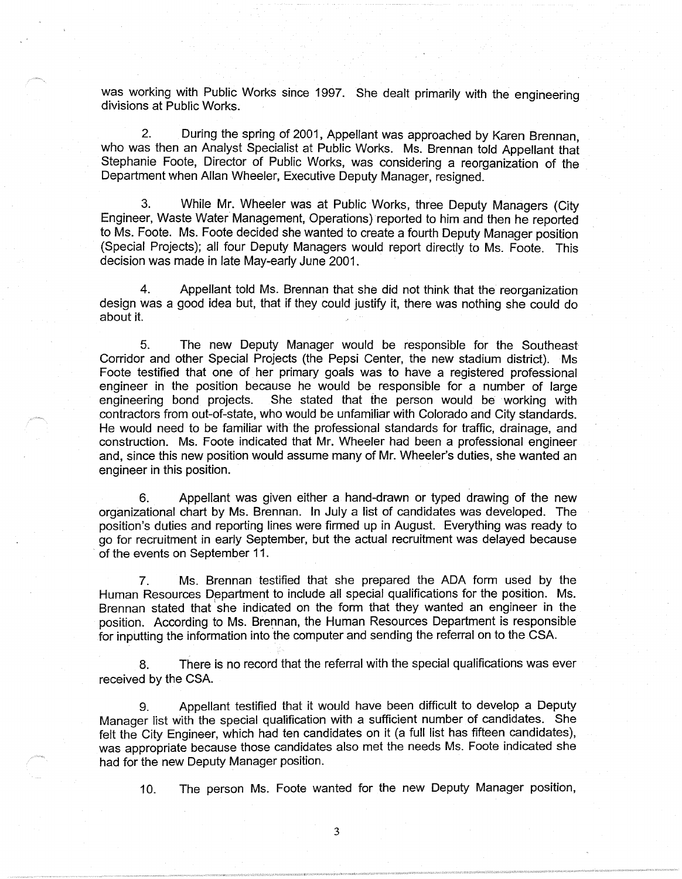was working with Public Works since 1997. She dealt primarily with the engineering divisions at Public Works.

2. During the spring of 2001, Appellant was approached by Karen Brennan, who was then an Analyst Specialist at Public Works. Ms. Brennan told Appellant that Stephanie Foote, Director of Public Works, was considering a reorganization of the Department when Allan Wheeler, Executive Deputy Manager, resigned.

3. While Mr. Wheeler was at Public Works, three Deputy Managers (City Engineer, Waste Water Management, Operations) reported to him and then he reported to Ms. Foote. Ms. Foote decided she wanted to create a fourth Deputy Manager position (Special Projects); all four Deputy Managers would report directly to Ms. Foote. This decision was made in late May-early June 2001.

4. Appellant told Ms. Brennan that she did not think that the reorganization design was a good idea but, that if they could justify it, there was nothing she could do about it.

5. The new Deputy Manager would be responsible for the Southeast Corridor and other Special Projects (the Pepsi Center, the new stadium district). Ms Foote testified that one of her primary goals was to have a registered professional engineer in the position because he would be responsible for a number of large engineering bond projects. She stated that the person would be working with She stated that the person would be working with contractors from out-of-state, who would be unfamiliar with Colorado and City standards. He would need to be familiar with the professional standards for traffic, drainage, and construction. Ms. Foote indicated that Mr. Wheeler had been a professional engineer and, since this new position would assume many of Mr. Wheeler's duties, she wanted an engineer in this position.

6. Appellant was given either a hand-drawn or typed drawing of the new organizational chart by Ms. Brennan. In July a list of candidates was developed. The position's duties and reporting lines were firmed up in August. Everything was ready to go for recruitment in early September, but the actual recruitment was delayed because of the events on September 11.

7. Ms. Brennan testified that she prepared the ADA form used by the Human Resources Department to include all special qualifications for the position. Ms. Brennan stated that 'she indicated on the form that they wanted an engineer in the position. According to Ms. Brennan, the Human Resources Department is responsible for inputting the information into the computer and sending the referral on to the.CSA.

8. There is no record that the referral with the special qualifications was ever received by the CSA.

9. Appellant testified that it would have been difficult to develop a Deputy Manager list with the special qualification with a sufficient number of candidates. She felt the City Engineer, which had ten candidates on it (a full list has fifteen candidates), was appropriate because those candidates also met the needs Ms. Foote indicated she had for the new Deputy Manager position.

10. The person Ms. Foote wanted for the new Deputy Manager position,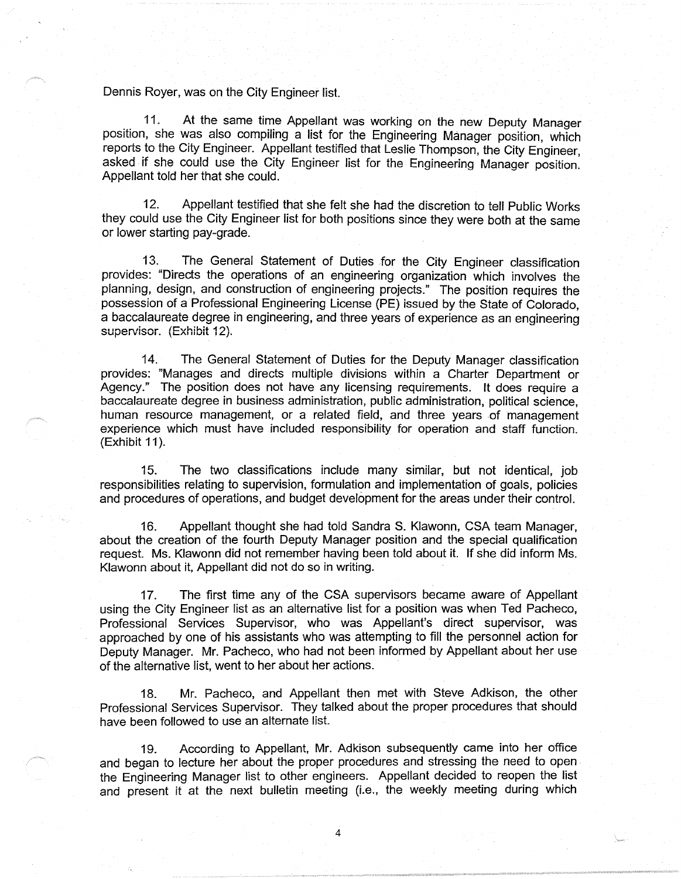Dennis Royer, was on the City Engineer list.

11. At the same time Appellant was working on the new Deputy Manager position, she was also compiling a list for the Engineering Manager position, which reports to the City Engineer. Appellant testified that Leslie Thompson, the City Engineer, asked if she could use the City Engineer list for the Engineering Manager position. Appellant told her that she could.

12. Appellant testified that she felt she had the discretion to tell Public Works they could use the City Engineer list for both positions since they were both at the same or lower starting pay-grade.

13. The General Statement of Duties for the City Engineer classification provides: "Directs the operations of an engineering organization which involves the planning, design, and construction of engineering projects." The position requires the possession of a Professional Engineering License (PE) issued by the State of Colorado, a baccalaureate degree in engineering, and three years of experience as an engineering supervisor. (Exhibit 12).

14. The General Statement of Duties for the Deputy Manager classification provides: "Manages and directs multiple divisions within a Charter Department or Agency." The position does not have any licensing requirements. It does require a baccalaureate degree in business administration, public administration, political science, human resource management, or a related field, and three years of management experience which must have included responsibility for operation and staff function. (Exhibit 11).

15. The two classifications include many similar, but not identical, job responsibilities relating to supervision, formulation and implementation of goals, policies and procedures of operations, and budget development for the areas under their control.

16. Appellant thought she had told Sandra S. Klawonn, CSA team Manager, about the creation of the fourth Deputy Manager position and the special qualification request. Ms. Klawonn did not remember having been told about it. If she did inform Ms. Klawonn about it, Appellant did not do so in writing.

17. The first time any of the CSA supervisors became aware of Appellant using the City Engineer list as an alternative list for a position was when Ted Pacheco, Professional Services Supervisor, who was Appellant's direct supervisor, was approached by one of his assistants who was attempting to fill the personnel action for Deputy Manager. Mr. Pacheco, who had not been informed by Appellant about her use of the alternative list, went to her about her actions. ·

18. Mr. Pacheco, and Appellant then met with Steve Adkison, the other Professional Services Supervisor. They talked about the proper procedures that should have been followed to use an alternate list.

19. According to Appellant, Mr. Adkison subsequently came into her office and began to lecture her about the proper procedures and stressing the need to open the Engineering Manager list to other engineers. Appellant decided to reopen the list and present it at the next bulletin meeting (i.e., the weekly meeting during which

4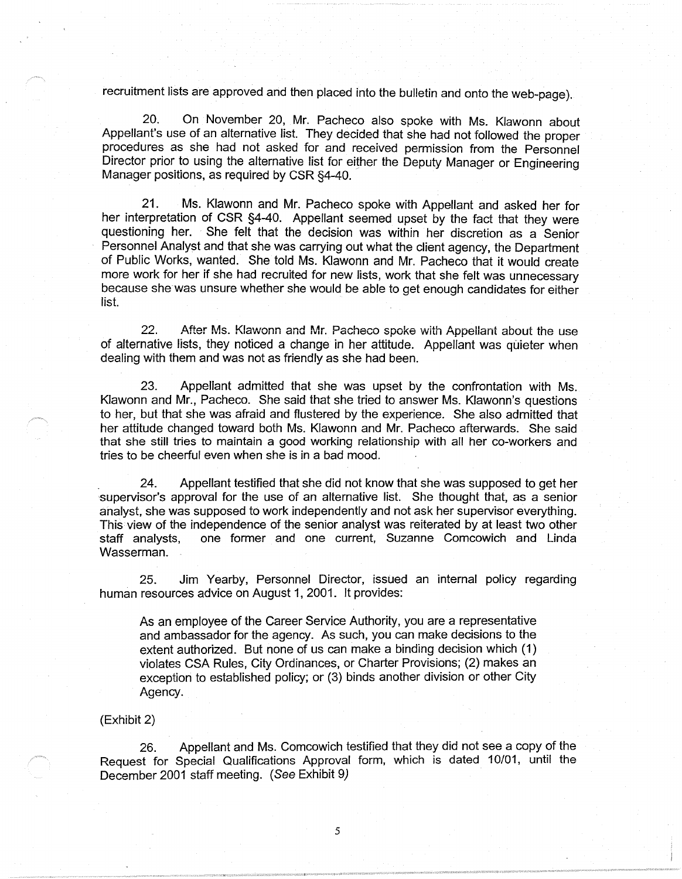recruitment lists are approved and then placed into the bulletin and onto the web-page).

20. On November 20, Mr. Pacheco also spoke with Ms. Klawonn about Appellant's use of an alternative list. They decided that she had not followed the proper procedures as she had not asked for and received permission from the Personnel Director prior to using the alternative list for either the Deputy Manager or Engineering Manager positions, as required by CSR §4-40.

21. Ms. Klawonn and Mr. Pacheco spoke with Appellant and asked her for her interpretation of CSR §4-40. Appellant seemed upset by the fact that they were questioning her. She felt that the decision was within her discretion as a Senior Personnel Analyst and that she was carrying out what the client agency, the Department of Public Works, wanted. She told Ms. Klawonn and Mr. Pacheco that it would create more work for her if she had recruited for new lists, work that she felt was unnecessary because shewas unsure whether she would be able to get enough candidates for either list.

22. After Ms. Klawonn and Mr. Pacheco spoke with Appellant about the use of alternative lists, they noticed a change in her attitude. Appellant was quieter when dealing with them and was not as friendly as she had been.

23. Appellant admitted that she was upset by the confrontation with Ms. Klawonn and Mr., Pacheco. She said that she tried to answer Ms. Klawonn's questions to her, but that she was afraid and flustered by the experience. She also admitted that her attitude changed toward both Ms. Klawonn and Mr. Pacheco afterwards. She said that she still tries to maintain a good working relationship with all her co-workers and tries to be cheerful even when she is in a bad mood.

24. Appellant testified that she did not know that she was supposed to get her supervisor's approval for the use of an alternative list. She thought that, as a senior analyst, she was supposed to work independently and not ask her supervisor everything. This view of the independence of the senior analyst was reiterated by at least two other staff analysts, one former and one current, Suzanne Comcowich and Linda Wasserman.

25. Jim Yearby, Personnel Director, issued an internal policy regarding human resources advice on August 1, 2001. It provides:

As an employee of the Career Service Authority, you are a representative and ambassador for the agency. As such, you can make decisions to the extent authorized. But none of us can make a binding decision which (1) violates CSA Rules, City Ordinances, or Charter Provisions; (2) makes an exception to established policy; or (3) binds another division or other City Agency.

## (Exhibit 2)

26. Appellant and Ms. Comcowich testified that they did not see a copy of the Request for Special Qualifications Approval form, which is dated 10/01, until the December 2001 staff meeting. (See Exhibit 9)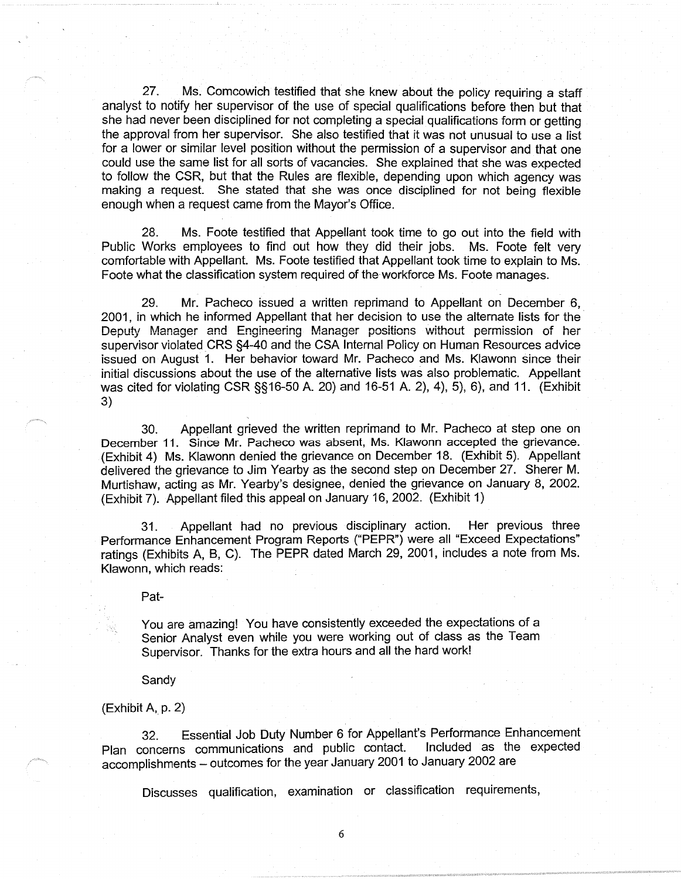27. Ms. Comcowich testified that she knew about the policy requiring a staff analyst to notify her supervisor of the use of special qualifications before then but that she had never been disciplined for not completing a special qualifications form or getting the approval from her supervisor. She also testified that it was not unusual to use a list for a lower or similar level position without the permission of a supervisor and that one could use the same list for all sorts of vacancies. She explained that she was expected to follow the CSR, but that the Rules are flexible, depending upon which agency was making a request. She stated that she was once disciplined for not being flexible enough when a request came from the Mayor's Office.

28. Ms. Foote testified that Appellant took time to go out into the field with Public Works employees to find out how they did their jobs. Ms. Foote felt very comfortable with Appellant. Ms. Foote testified that Appellant took time to explain to Ms. Foote what the classification system required of the workforce Ms. Foote manages.

29. Mr. Pacheco issued a written reprimand to Appellant on December 6, 2001, in which he informed Appellant that her decision to use the alternate lists for the· Deputy Manager and Engineering Manager positions without permission of her supervisor violated CRS §4-40 and the CSA Internal Policy on Human Resources advice issued on August 1. Her behavior toward Mr. Pacheco and Ms. Klawonn since their initial discussions about the use of the alternative lists was also problematic. Appellant was cited for violating CSR §§16-50 A. 20) and 16-51 A. 2), 4), 5), 6), and 11. (Exhibit 3)

30. Appellant grieved the written reprimand to Mr. Pacheco at step one on December 11. Since Mr. Pacheco was absent, Ms. Klawonn accepted the grievance. (Exhibit 4) Ms. Klawonn denied the grievance on December 18. (Exhibit 5). Appellant delivered the grievance to Jim Yearby as the second step on December 27. Sherer M. Murtishaw, acting as Mr. Yearby's designee, denied the grievance on January 8, 2002. (Exhibit 7). Appellant filed this appeal on January 16, 2002. (Exhibit 1)

31. Appellant had no previous disciplinary action. Her previous three Performance Enhancement Program Reports ("PEPR") were all "Exceed Expectations" ratings (Exhibits A, B, C). The PEPR dated March 29, 2001, includes a note from Ms. Klawonn, which reads:

Pat-

You are amazing! You have consistently exceeded the expectations of a Senior Analyst even while you were working out of class as the Team Supervisor. Thanks for the extra hours and all the hard work!

Sandy

(Exhibit A, p. 2)

32. Essential Job Duty Number 6 for Appellant's Performance Enhancement Plan concerns communications and public contact. Included as the expected accomplishments - outcomes for the year January 2001 to January 2002 are

Discusses qualification, examination or classification requirements,

6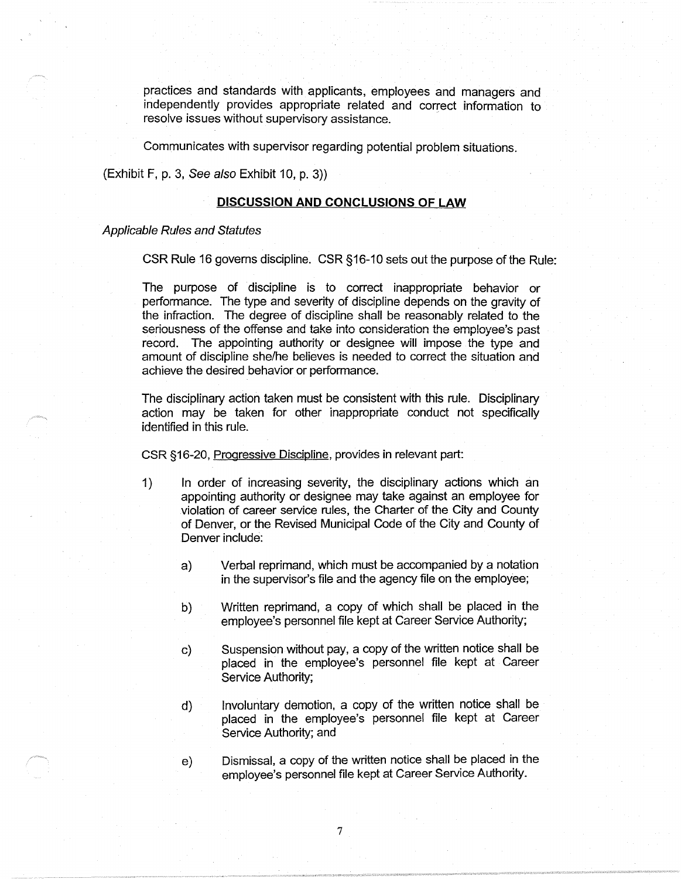practices and standards with applicants, employees and managers and independently provides appropriate related and correct information to resolve issues without supervisory assistance.

Communicates with supervisor regarding potential problem situations.

(Exhibit F, p. 3, See also Exhibit 10, p. 3))

# **DISCUSSION AND CONCLUSIONS OF LAW**

## Applicable Rules and Statutes

CSR Rule 16 governs discipline. CSR §16-10 sets out the purpose of the Rule:

The purpose of discipline is to correct inappropriate behavior or performance. The type and severity of discipline depends on the gravity of the infraction. The degree of discipline shall be reasonably related to the seriousness of the offense and take into consideration the employee's past record. The appointing authority or designee will impose the type and amount of discipline she/he believes is needed to correct the situation and achieve the desired behavior or performance.

The disciplinary action taken must be consistent with this rule. Disciplinary action may be taken for other inappropriate conduct not specifically identified in this rule.

CSR §16-20, Progressive Discipline, provides in relevant part:

- 1) In order of increasing severity, the disciplinary actions which an appointing authority or designee may take against an employee for violation of career service rules, the Charter of the City and County of Denver, or the Revised Municipal Code of the City and County of Denver include:
	- a) Verbal reprimand, which must be accompanied by a notation in the supervisor's file and the agency file on the employee;
	- b) Written reprimand, a copy of which shall be placed in the employee's personnel file kept at Career Service Authority;
	- c) Suspension without pay, a copy of the written notice shall be placed in the employee's personnel file kept at Career Service Authority;
	- d) Involuntary demotion, a copy of the written notice shall be placed in the employee's personnel file kept at Career Service Authority; and
	- e) Dismissal, a copy of the written notice shall be placed in the employee's personnel file kept at Career Service Authority.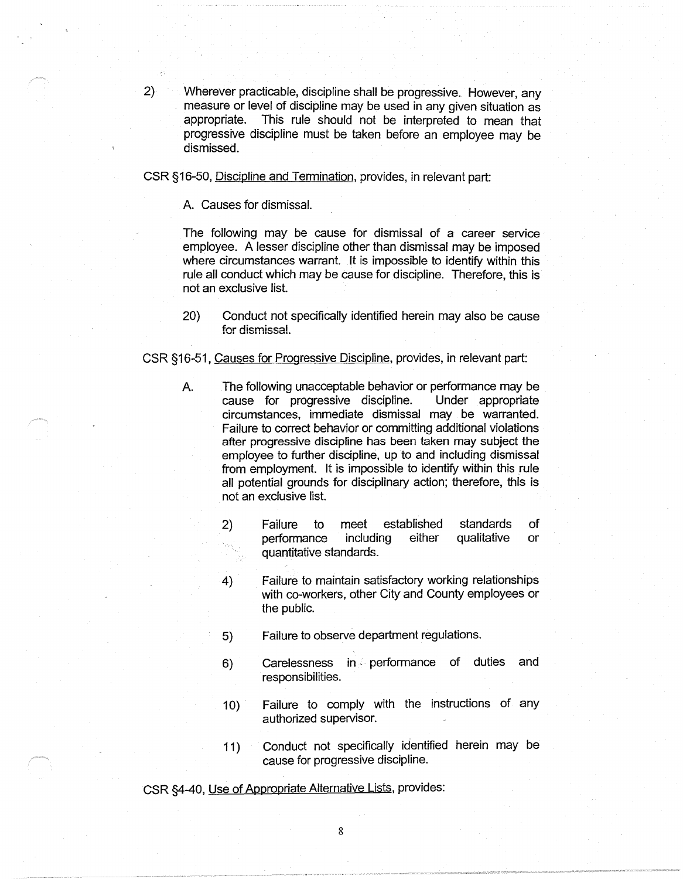2) Wherever practicable, discipline shall be progressive. However, any measure or level of discipline may be used in any given situation as appropriate. This rule should not be interpreted to mean that progressive discipline must be taken before an employee may be dismissed.

CSR §16-50, Discipline and Termination, provides, in relevant part:

A. Causes for dismissal.

The following may be cause for dismissal of a career service employee. A lesser discipline other than dismissal may be imposed where circumstances warrant. It is impossible to identify within this rule all conduct which may be cause for discipline. Therefore, this is not an exclusive list.

20) Conduct not specifically identified herein may also be cause for dismissal.

#### CSR §16-51, Causes for Progressive Discipline, provides, in relevant part:

- A. The following unacceptable behavior or performance may be cause for progressive discipline. Under appropriate circumstances, immediate dismissal may be warranted. Failure to correct behavior or committing additional violations after progressive discipline has been taken may subject the employee to further discipline, up to and including dismissal from employment. It is impossible to identify within this rule all potential grounds for disciplinary action; therefore, this is not an exclusive list.
	- 2) Failure to meet established performance including either quantitative standards. standards qualitative of or
	- 4) Failure to maintain satisfactory working relationships with co-workers, other City and County employees or the public.
	- 5) Failure to observe department regulations.
	- 6) Carelessness in performance of duties and responsibilities.
	- 10) Failure to comply with the instructions of any authorized supervisor.
	- 11) Conduct not specifically identified herein may be cause for progressive discipline.

CSR §4-40, Use of Appropriate Alternative Lists, provides: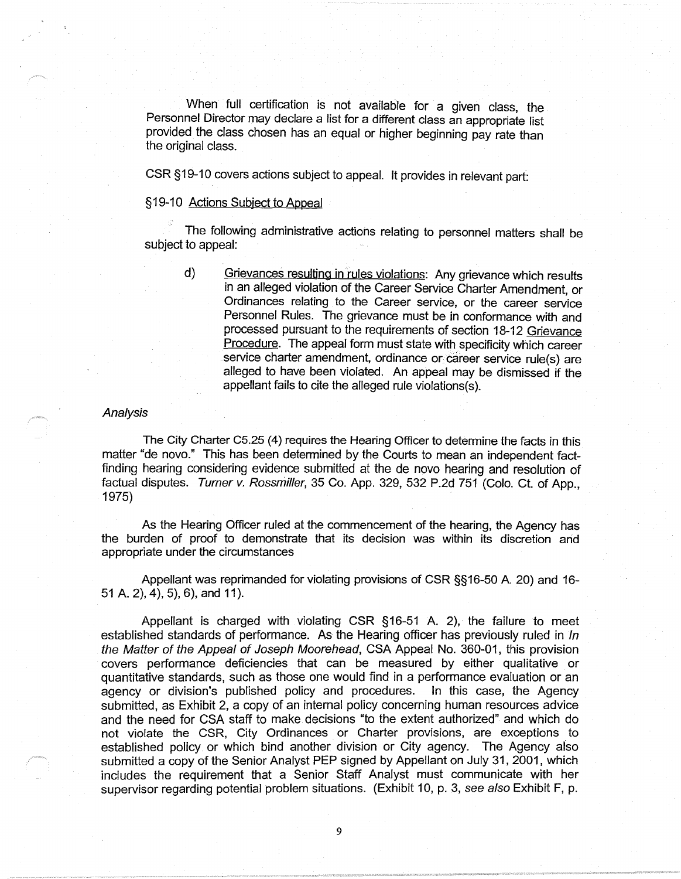When full certification is not available for a given class, the Personnel Director may declare a list for a different class an appropriate list provided the class chosen has an equal or higher beginning pay rate than the original class.

CSR § 19-10 covers actions subject to appeal. It provides in relevant part:

# § 19-10 Actions Subject to Appeal

The following administrative actions relating to personnel matters shall be subject to appeal:

d)

Grievances resulting in rules violations: Any grievance which results in an alleged violation of the Career Service Charter Amendment, or Ordinances relating to the Career service, or the career service Personnel Rules. The grievance must be in conformance with and processed pursuant to the requirements of section 18-12 Grievance Procedure. The appeal form must state with specificity which career service charter amendment, ordinance or career service rule(s) are alleged to have been violated. An appeal may be dismissed if the appellant fails to cite the alleged rule violations(s).

## **Analysis**

The City Charter C5.25 (4) requires the Hearing Officer to determine the facts in this matter "de nova." This has been determined by the Courts to mean an independent factfinding hearing considering evidence submitted at the de nova hearing and resolution of factual disputes. Turner v. Rossmiller, 35 Co. App. 329, 532 P.2d 751 (Colo. Ct. of App., 1975)

As the Hearing Officer ruled at the commencement of the hearing, the Agency has the burden of proof to demonstrate that its decision was within its discretion and appropriate under the circumstances

Appellant was reprimanded for violating provisions of CSR §§16-50 A. 20) and 16-51 A. 2), 4), 5), 6), and 11 ).

Appellant is charged with violating CSR §16-51 A. 2), the failure to meet established standards of performance. As the Hearing officer has previously ruled in In the Matter of the Appeal of Joseph Moorehead, CSA Appeal No. 360-01, this provision covers performance deficiencies that can be measured by either qualitative or quantitative standards, such as those one would find in a performance evaluation or an agency or division's published policy and procedures. In this case, the Agency submitted, as Exhibit 2, a copy of an internal policy concerning human resources advice and the need for CSA staff to make decisions "to the extent authorized" and which do not violate the CSR, City Ordinances or Charter provisions, are exceptions to established policy or which bind another division or City agency. The Agency also submitted a copy of the Senior Analyst PEP signed by Appellant on July 31, 2001, which includes the requirement that a Senior Staff Analyst must communicate with her supervisor regarding potential problem situations. (Exhibit 10, p. 3, see also Exhibit F, p.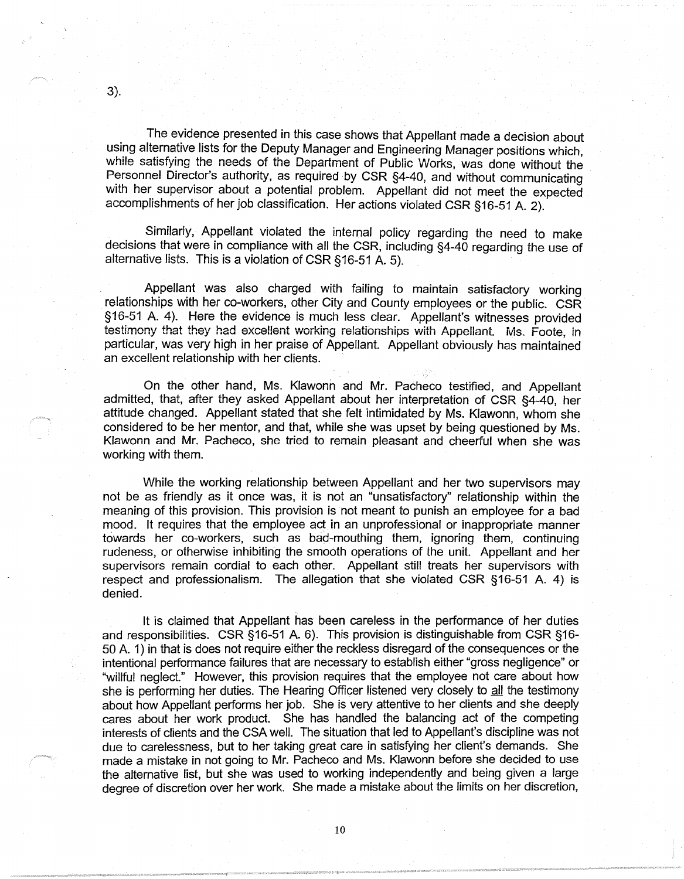The evidence presented in this case shows that Appellant made a decision about using alternative lists for the Deputy Manager and Engineering Manager positions which, while satisfying the needs of the Department of Public Works, was done without the Personnel Director's authority, as required by CSR §4-40, and without communicating with her supervisor about a potential problem. Appellant did not meet the expected accomplishments of her job classification. Her actions violated CSR §16-51 A. 2).

Similarly, Appellant violated the internal policy regarding the need to make decisions that were in compliance with all the CSR, including §4-40 regarding the use of alternative lists. This is a violation of CSR §16-51 A. 5).

Appellant was also charged with failing to maintain satisfactory working relationships with her co-workers, other City and County employees or the public. CSR §16-51 A. 4). Here the evidence is much less clear. Appellant's witnesses provided testimony that they had excellent working relationships with Appellant. Ms. Foote, in particular, was very high in her praise of Appellant. Appellant obviously has maintained an excellent relationship with her clients.

On the other hand, Ms. Klawonn and Mr. Pacheco testified, and Appellant admitted, that, after they asked Appellant about her interpretation of CSR §4-40, her attitude changed. Appellant stated that she felt intimidated by Ms. Klawonn, whom she considered to be her mentor, and that, while she was upset by being questioned by Ms. Klawonn and Mr. Pacheco, she tried to remain pleasant and cheerful when she was working with them.

While the working relationship between Appellant and her two supervisors may not be as friendly as it once was, it is not an "unsatisfactory" relationship within the meaning of this provision. This provision is not meant to punish an employee for a bad mood. It requires that the employee act in an unprofessional or inappropriate manner towards her co-workers, such as bad-mouthing them, ignoring them, continuing rudeness, or otherwise inhibiting the smooth operations of the unit. Appellant and her supervisors remain cordial to each other. Appellant still treats her supervisors with respect and professionalism. The allegation that she violated CSR §16-51 A. 4) is denied.

It is claimed that Appellant has been careless in the performance of her duties and responsibilities. CSR §16-51 A. 6). This provision is distinguishable from CSR §16- 50 A. 1) in that is does not require either the reckless disregard of the consequences or the intentional performance failures that are necessary to establish either "gross negligence" or "willful neglect." However, this provision requires that the employee not care about how she is performing her duties. The Hearing Officer listened very closely to all the testimony about how Appellant performs her job. She is very attentive to her dients and she deeply cares about her work product. She has handled the balancing act of the competing interests of clients and the CSA well. The situation that led to Appellant's discipline was not due to carelessness, but to her taking great care in satisfying her client's demands. She made a mistake in not going to Mr. Pacheco and Ms. Klawonn before she decided to use the alternative list, but she was used to working independently and being given a large degree of discretion over her work. She made a mistake about the limits on her discretion,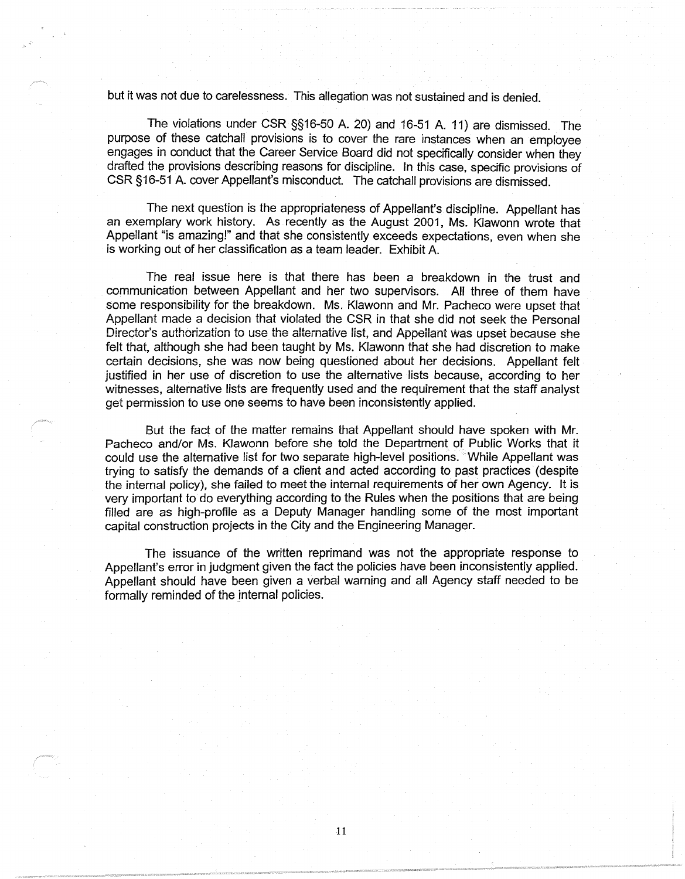but it was not due to carelessness. This allegation was not sustained and is denied.

The violations under CSR §§16-50 A. 20) and 16-51 A. 11) are dismissed. The purpose of these catchall provisions is to cover the rare instances when an employee engages in conduct that the Career Service Board did not specifically consider when they drafted the provisions describing reasons for discipline. In this case, specific provisions of CSR §16-51 A. cover Appellant's misconduct. The catchall provisions are dismissed.

The next question is the appropriateness of Appellant's discipline. Appellant has· an exemplary work history. As recently as the August 2001, Ms. Klawonn wrote that Appellant "is amazing!" and that she consistently exceeds expectations, even when she is working out of her classification as a team leader. Exhibit A.

The real issue here is that there has been a breakdown in the trust and communication between Appellant and her two supervisors. All three of them have some responsibility for the breakdown. Ms. Klawonn and Mr. Pacheco were upset that Appellant made a decision that violated the CSR in that she did not seek the Personal Director's authorization to use the altemative list, and Appeilant Was upset because she felt that, although she had been taught by Ms. Klawonn that she had discretion to make certain decisions, she was now being questioned about her decisions. Appellant felt justified in her use of discretion to use the alternative lists because, according to her witnesses, alternative lists are frequently used and the requirement that the staff analyst get permission to use one seems to have been inconsistently applied.

But the fact of the matter remains that Appellant should have spoken with Mr. Pacheco and/or Ms. Klawonn before she told the Department of Public Works that it could use the alternative list for two separate high-level positions. While Appellant was trying to satisfy the demands of a client and acted according to past practices· (despite the internal policy), she failed to meet the internal requirements of her own Agency. It is very important to do everything according to the Rules when the positions that are being filled are as high-profile as a Deputy Manager handling some of the most important capital construction projects in the City and the Engineering Manager.

The issuance of the written reprimand was not the appropriate response to Appellant's error in judgment given the fact the policies have been inconsistently applied. Appellant should have been given a verbal warning and all Agency staff needed to be formally reminded of the internal policies.

11